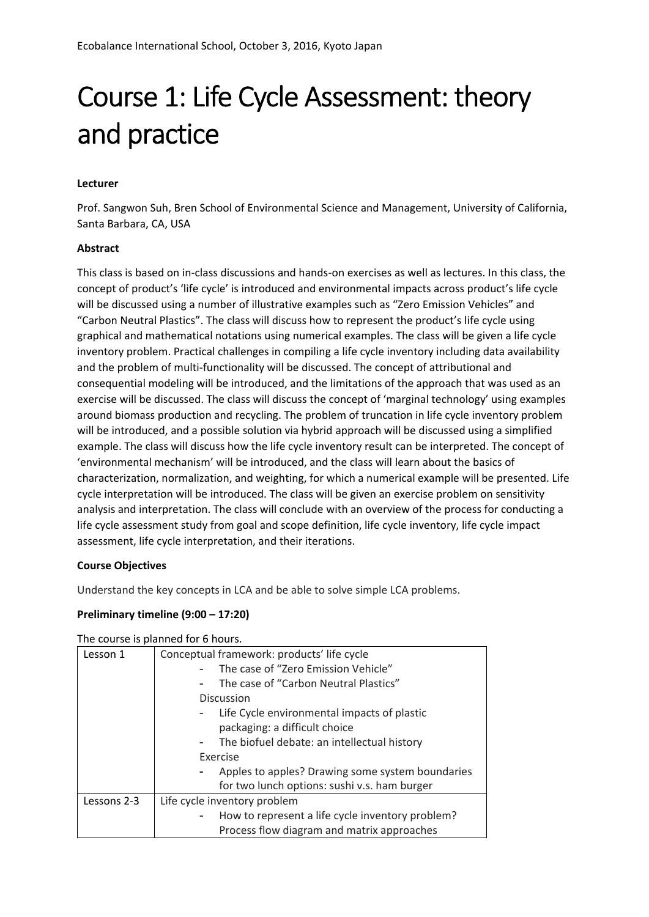# Course 1: Life Cycle Assessment: theory and practice

## **Lecturer**

Prof. Sangwon Suh, Bren School of Environmental Science and Management, University of California, Santa Barbara, CA, USA

### **Abstract**

This class is based on in-class discussions and hands-on exercises as well as lectures. In this class, the concept of product's 'life cycle' is introduced and environmental impacts across product's life cycle will be discussed using a number of illustrative examples such as "Zero Emission Vehicles" and "Carbon Neutral Plastics". The class will discuss how to represent the product's life cycle using graphical and mathematical notations using numerical examples. The class will be given a life cycle inventory problem. Practical challenges in compiling a life cycle inventory including data availability and the problem of multi-functionality will be discussed. The concept of attributional and consequential modeling will be introduced, and the limitations of the approach that was used as an exercise will be discussed. The class will discuss the concept of 'marginal technology' using examples around biomass production and recycling. The problem of truncation in life cycle inventory problem will be introduced, and a possible solution via hybrid approach will be discussed using a simplified example. The class will discuss how the life cycle inventory result can be interpreted. The concept of 'environmental mechanism' will be introduced, and the class will learn about the basics of characterization, normalization, and weighting, for which a numerical example will be presented. Life cycle interpretation will be introduced. The class will be given an exercise problem on sensitivity analysis and interpretation. The class will conclude with an overview of the process for conducting a life cycle assessment study from goal and scope definition, life cycle inventory, life cycle impact assessment, life cycle interpretation, and their iterations.

#### **Course Objectives**

Understand the key concepts in LCA and be able to solve simple LCA problems.

#### **Preliminary timeline (9:00 – 17:20)**

| The course is planned for 6 hours. |  |  |  |
|------------------------------------|--|--|--|
|------------------------------------|--|--|--|

| Lesson 1    | Conceptual framework: products' life cycle       |  |  |
|-------------|--------------------------------------------------|--|--|
|             | The case of "Zero Emission Vehicle"              |  |  |
|             | The case of "Carbon Neutral Plastics"            |  |  |
|             | <b>Discussion</b>                                |  |  |
|             | Life Cycle environmental impacts of plastic      |  |  |
|             | packaging: a difficult choice                    |  |  |
|             | The biofuel debate: an intellectual history      |  |  |
|             | <b>Exercise</b>                                  |  |  |
|             | Apples to apples? Drawing some system boundaries |  |  |
|             | for two lunch options: sushi v.s. ham burger     |  |  |
| Lessons 2-3 | Life cycle inventory problem                     |  |  |
|             | How to represent a life cycle inventory problem? |  |  |
|             | Process flow diagram and matrix approaches       |  |  |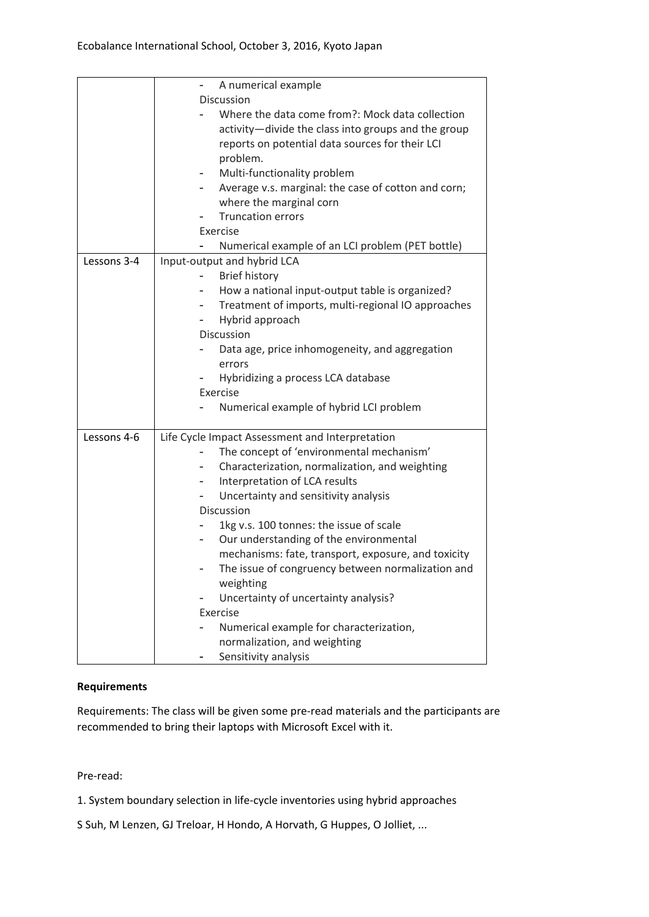|             | A numerical example                                 |  |  |
|-------------|-----------------------------------------------------|--|--|
|             | <b>Discussion</b>                                   |  |  |
|             | Where the data come from?: Mock data collection     |  |  |
|             | activity-divide the class into groups and the group |  |  |
|             | reports on potential data sources for their LCI     |  |  |
|             | problem.                                            |  |  |
|             | Multi-functionality problem                         |  |  |
|             | Average v.s. marginal: the case of cotton and corn; |  |  |
|             | where the marginal corn                             |  |  |
|             | <b>Truncation errors</b>                            |  |  |
|             | Exercise                                            |  |  |
|             | Numerical example of an LCI problem (PET bottle)    |  |  |
| Lessons 3-4 | Input-output and hybrid LCA                         |  |  |
|             | <b>Brief history</b>                                |  |  |
|             | How a national input-output table is organized?     |  |  |
|             | Treatment of imports, multi-regional IO approaches  |  |  |
|             | Hybrid approach                                     |  |  |
|             | Discussion                                          |  |  |
|             | Data age, price inhomogeneity, and aggregation      |  |  |
|             | errors                                              |  |  |
|             | Hybridizing a process LCA database                  |  |  |
|             | Exercise                                            |  |  |
|             | Numerical example of hybrid LCI problem             |  |  |
| Lessons 4-6 | Life Cycle Impact Assessment and Interpretation     |  |  |
|             | The concept of 'environmental mechanism'            |  |  |
|             | Characterization, normalization, and weighting      |  |  |
|             | Interpretation of LCA results<br>-                  |  |  |
|             | Uncertainty and sensitivity analysis                |  |  |
|             | <b>Discussion</b>                                   |  |  |
|             | 1kg v.s. 100 tonnes: the issue of scale             |  |  |
|             | Our understanding of the environmental<br>-         |  |  |
|             | mechanisms: fate, transport, exposure, and toxicity |  |  |
|             | The issue of congruency between normalization and   |  |  |
|             | weighting                                           |  |  |
|             | Uncertainty of uncertainty analysis?                |  |  |
|             | Exercise                                            |  |  |
|             | Numerical example for characterization,             |  |  |
|             | normalization, and weighting                        |  |  |
|             | Sensitivity analysis                                |  |  |

## **Requirements**

Requirements: The class will be given some pre-read materials and the participants are recommended to bring their laptops with Microsoft Excel with it.

Pre-read:

1. System boundary selection in life-cycle inventories using hybrid approaches

S Suh, M Lenzen, GJ Treloar, H Hondo, A Horvath, G Huppes, O Jolliet, ...